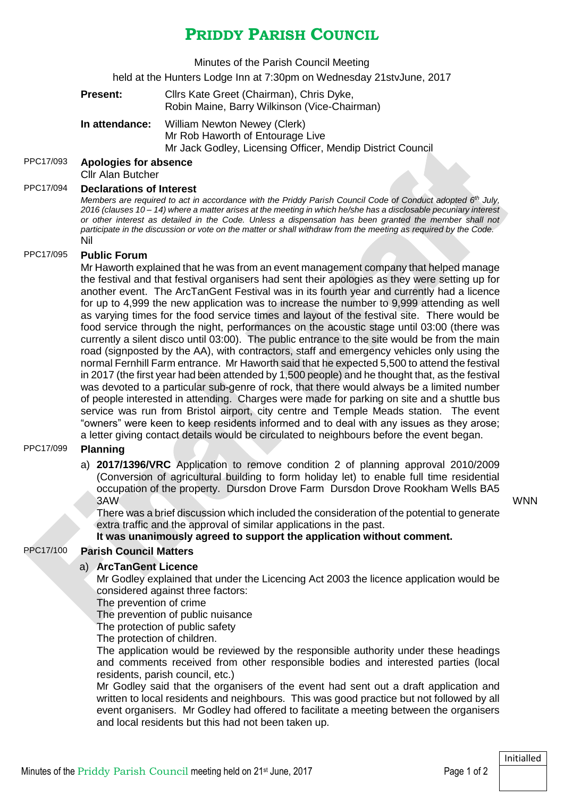## **PRIDDY PARISH COUNCIL**

Minutes of the Parish Council Meeting

held at the Hunters Lodge Inn at 7:30pm on Wednesday 21stvJune, 2017

|                               | <b>Present:</b>                                                                 | Cllrs Kate Greet (Chairman), Chris Dyke,<br>Robin Maine, Barry Wilkinson (Vice-Chairman)                                                                                                                                                                                                                                                                                                                                                                                                                                                                                                                                                                                                                                                                                                                                                                                                                                                                                                                                                                                                                                                                                                                                                                                                                                                                                                                                                                                                                                                          |  |
|-------------------------------|---------------------------------------------------------------------------------|---------------------------------------------------------------------------------------------------------------------------------------------------------------------------------------------------------------------------------------------------------------------------------------------------------------------------------------------------------------------------------------------------------------------------------------------------------------------------------------------------------------------------------------------------------------------------------------------------------------------------------------------------------------------------------------------------------------------------------------------------------------------------------------------------------------------------------------------------------------------------------------------------------------------------------------------------------------------------------------------------------------------------------------------------------------------------------------------------------------------------------------------------------------------------------------------------------------------------------------------------------------------------------------------------------------------------------------------------------------------------------------------------------------------------------------------------------------------------------------------------------------------------------------------------|--|
|                               | In attendance:                                                                  | William Newton Newey (Clerk)<br>Mr Rob Haworth of Entourage Live<br>Mr Jack Godley, Licensing Officer, Mendip District Council                                                                                                                                                                                                                                                                                                                                                                                                                                                                                                                                                                                                                                                                                                                                                                                                                                                                                                                                                                                                                                                                                                                                                                                                                                                                                                                                                                                                                    |  |
|                               | <b>Apologies for absence</b><br><b>Cllr Alan Butcher</b>                        |                                                                                                                                                                                                                                                                                                                                                                                                                                                                                                                                                                                                                                                                                                                                                                                                                                                                                                                                                                                                                                                                                                                                                                                                                                                                                                                                                                                                                                                                                                                                                   |  |
|                               | Nil                                                                             | <b>Declarations of Interest</b><br>Members are required to act in accordance with the Priddy Parish Council Code of Conduct adopted 6 <sup>th</sup> July,<br>2016 (clauses 10 - 14) where a matter arises at the meeting in which he/she has a disclosable pecuniary interest<br>or other interest as detailed in the Code. Unless a dispensation has been granted the member shall not<br>participate in the discussion or vote on the matter or shall withdraw from the meeting as required by the Code.                                                                                                                                                                                                                                                                                                                                                                                                                                                                                                                                                                                                                                                                                                                                                                                                                                                                                                                                                                                                                                        |  |
|                               | <b>Public Forum</b><br><b>Planning</b>                                          | Mr Haworth explained that he was from an event management company that helped manage<br>the festival and that festival organisers had sent their apologies as they were setting up for<br>another event. The ArcTanGent Festival was in its fourth year and currently had a licence<br>for up to 4,999 the new application was to increase the number to 9,999 attending as well<br>as varying times for the food service times and layout of the festival site. There would be<br>food service through the night, performances on the acoustic stage until 03:00 (there was<br>currently a silent disco until 03:00). The public entrance to the site would be from the main<br>road (signposted by the AA), with contractors, staff and emergency vehicles only using the<br>normal Fernhill Farm entrance. Mr Haworth said that he expected 5,500 to attend the festival<br>in 2017 (the first year had been attended by 1,500 people) and he thought that, as the festival<br>was devoted to a particular sub-genre of rock, that there would always be a limited number<br>of people interested in attending. Charges were made for parking on site and a shuttle bus<br>service was run from Bristol airport, city centre and Temple Meads station. The event<br>"owners" were keen to keep residents informed and to deal with any issues as they arose;<br>a letter giving contact details would be circulated to neighbours before the event began.<br>a) 2017/1396/VRC Application to remove condition 2 of planning approval 2010/2009 |  |
|                               | 3AW                                                                             | (Conversion of agricultural building to form holiday let) to enable full time residential<br>occupation of the property. Dursdon Drove Farm Dursdon Drove Rookham Wells BA5<br>There was a brief discussion which included the consideration of the potential to generate<br>extra traffic and the approval of similar applications in the past.                                                                                                                                                                                                                                                                                                                                                                                                                                                                                                                                                                                                                                                                                                                                                                                                                                                                                                                                                                                                                                                                                                                                                                                                  |  |
|                               | It was unanimously agreed to support the application without comment.           |                                                                                                                                                                                                                                                                                                                                                                                                                                                                                                                                                                                                                                                                                                                                                                                                                                                                                                                                                                                                                                                                                                                                                                                                                                                                                                                                                                                                                                                                                                                                                   |  |
| <b>Parish Council Matters</b> |                                                                                 |                                                                                                                                                                                                                                                                                                                                                                                                                                                                                                                                                                                                                                                                                                                                                                                                                                                                                                                                                                                                                                                                                                                                                                                                                                                                                                                                                                                                                                                                                                                                                   |  |
|                               | a) ArcTanGent Licence<br>The prevention of crime<br>The protection of children. | Mr Godley explained that under the Licencing Act 2003 the licence application would be<br>considered against three factors:<br>The prevention of public nuisance<br>The protection of public safety<br>The application would be reviewed by the responsible authority under these headings                                                                                                                                                                                                                                                                                                                                                                                                                                                                                                                                                                                                                                                                                                                                                                                                                                                                                                                                                                                                                                                                                                                                                                                                                                                        |  |
|                               |                                                                                 | and comments received from other responsible bodies and interested parties (local                                                                                                                                                                                                                                                                                                                                                                                                                                                                                                                                                                                                                                                                                                                                                                                                                                                                                                                                                                                                                                                                                                                                                                                                                                                                                                                                                                                                                                                                 |  |

residents, parish council, etc.) Mr Godley said that the organisers of the event had sent out a draft application and written to local residents and neighbours. This was good practice but not followed by all event organisers. Mr Godley had offered to facilitate a meeting between the organisers and local residents but this had not been taken up.

PPC17/093 **Apologies for absence**

PPC17/094 **Declarations of Interest**

PPC17/095 **Public Forum**

PPC17/099 **Planning**

PPC17/100 **Parish Council Matters**

Initialled

WNN